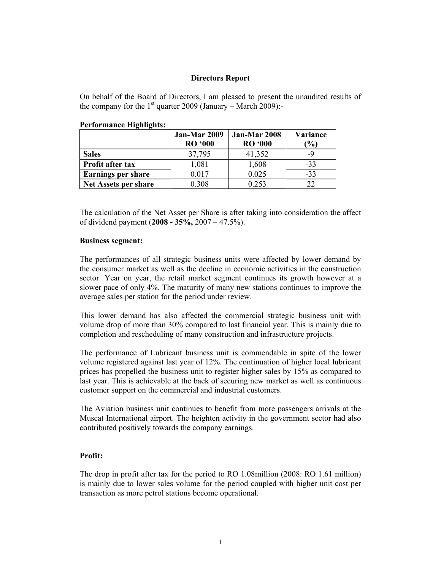#### **Directors Report**

On behalf of the Board of Directors, I am pleased to present the unaudited results of the company for the  $1<sup>st</sup>$  quarter 2009 (January – March 2009):-

| T CHOI MANCE THEMPTHS. |                                |                                |                                  |
|------------------------|--------------------------------|--------------------------------|----------------------------------|
|                        | Jan-Mar 2009<br><b>RO</b> '000 | Jan-Mar 2008<br><b>RO</b> '000 | <b>Variance</b><br>$\frac{1}{2}$ |
| <b>Sales</b>           | 37,795                         | 41,352                         | -9                               |

The calculation of the Net Asset per Share is after taking into consideration the affect of dividend payment (**2008 - 35%,** 2007 – 47.5%).

**Profit after tax**  $\begin{array}{|c|c|c|c|} \hline 1,081 & 1,608 & -33 \\\hline \end{array}$ **Earnings per share**  $\begin{array}{|c|c|c|} \hline 0.017 & 0.025 & -33 \end{array}$ **Net Assets per share**  $0.308$  0.253 22

### **Business segment:**

The performances of all strategic business units were affected by lower demand by the consumer market as well as the decline in economic activities in the construction sector. Year on year, the retail market segment continues its growth however at a slower pace of only 4%. The maturity of many new stations continues to improve the average sales per station for the period under review.

This lower demand has also affected the commercial strategic business unit with volume drop of more than 30% compared to last financial year. This is mainly due to completion and rescheduling of many construction and infrastructure projects.

The performance of Lubricant business unit is commendable in spite of the lower volume registered against last year of 12%. The continuation of higher local lubricant prices has propelled the business unit to register higher sales by 15% as compared to last year. This is achievable at the back of securing new market as well as continuous customer support on the commercial and industrial customers.

The Aviation business unit continues to benefit from more passengers arrivals at the Muscat International airport. The heighten activity in the government sector had also contributed positively towards the company earnings.

## **Profit:**

The drop in profit after tax for the period to RO 1.08million (2008: RO 1.61 million) is mainly due to lower sales volume for the period coupled with higher unit cost per transaction as more petrol stations become operational.